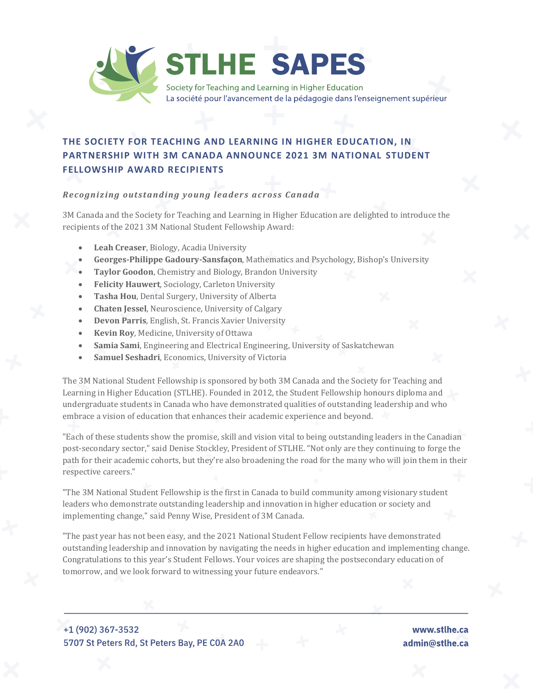

## **THE SOCIETY FOR TEACHING AND LEARNING IN HIGHER EDUCATION, IN PARTNERSHIP WITH 3M CANADA ANNOUNCE 2021 3M NATIONAL STUDENT FELLOWSHIP AWARD RECIPIENTS**

## *Recognizing outstanding young leaders across Canada*

3M Canada and the Society for Teaching and Learning in Higher Education are delighted to introduce the recipients of the 2021 3M National Student Fellowship Award:

- **Leah Creaser**, Biology, Acadia University
- **Georges-Philippe Gadoury-Sansfaçon**, Mathematics and Psychology, Bishop's University
- **Taylor Goodon**, Chemistry and Biology, Brandon University
- **Felicity Hauwert**, Sociology, Carleton University
- **Tasha Hou**, Dental Surgery, University of Alberta
- **Chaten Jessel**, Neuroscience, University of Calgary
- **Devon Parris**, English, St. Francis Xavier University
- **Kevin Roy**, Medicine, University of Ottawa
- **Samia Sami**, Engineering and Electrical Engineering, University of Saskatchewan
- **Samuel Seshadri**, Economics, University of Victoria

The 3M National Student Fellowship is sponsored by both 3M Canada and the Society for Teaching and Learning in Higher Education (STLHE). Founded in 2012, the Student Fellowship honours diploma and undergraduate students in Canada who have demonstrated qualities of outstanding leadership and who embrace a vision of education that enhances their academic experience and beyond.

"Each of these students show the promise, skill and vision vital to being outstanding leaders in the Canadian post-secondary sector," said Denise Stockley, President of STLHE. "Not only are they continuing to forge the path for their academic cohorts, but they're also broadening the road for the many who will join them in their respective careers."

"The 3M National Student Fellowship is the first in Canada to build community among visionary student leaders who demonstrate outstanding leadership and innovation in higher education or society and implementing change," said Penny Wise, President of 3M Canada.

"The past year has not been easy, and the 2021 National Student Fellow recipients have demonstrated outstanding leadership and innovation by navigating the needs in higher education and implementing change. Congratulations to this year's Student Fellows. Your voices are shaping the postsecondary education of tomorrow, and we look forward to witnessing your future endeavors."

+1 (902) 367-3532 5707 St Peters Rd, St Peters Bay, PE COA 2A0

www.stlhe.ca admin@stlhe.ca